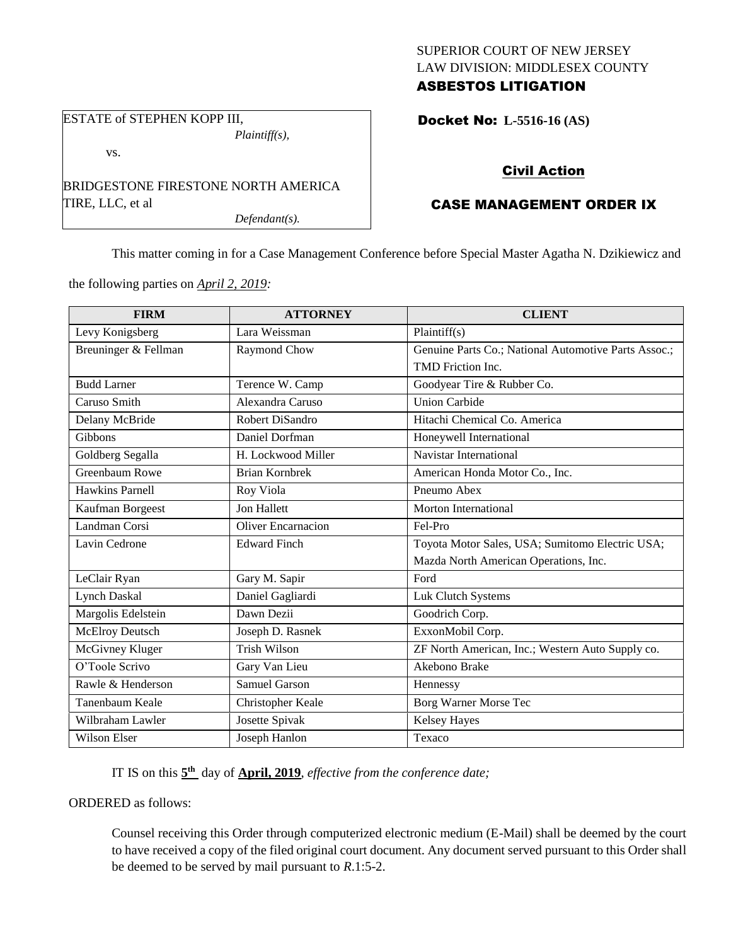### SUPERIOR COURT OF NEW JERSEY LAW DIVISION: MIDDLESEX COUNTY ASBESTOS LITIGATION

Docket No: **L-5516-16 (AS)** 

#### vs.

ESTATE of STEPHEN KOPP III,

BRIDGESTONE FIRESTONE NORTH AMERICA TIRE, LLC, et al

*Defendant(s).*

*Plaintiff(s),*

### Civil Action

# CASE MANAGEMENT ORDER IX

This matter coming in for a Case Management Conference before Special Master Agatha N. Dzikiewicz and

the following parties on *April 2, 2019:*

| <b>FIRM</b>          | <b>ATTORNEY</b>           | <b>CLIENT</b>                                        |
|----------------------|---------------------------|------------------------------------------------------|
| Levy Konigsberg      | Lara Weissman             | Plaintiff(s)                                         |
| Breuninger & Fellman | Raymond Chow              | Genuine Parts Co.; National Automotive Parts Assoc.; |
|                      |                           | TMD Friction Inc.                                    |
| <b>Budd Larner</b>   | Terence W. Camp           | Goodyear Tire & Rubber Co.                           |
| Caruso Smith         | Alexandra Caruso          | <b>Union Carbide</b>                                 |
| Delany McBride       | Robert DiSandro           | Hitachi Chemical Co. America                         |
| Gibbons              | Daniel Dorfman            | Honeywell International                              |
| Goldberg Segalla     | H. Lockwood Miller        | Navistar International                               |
| Greenbaum Rowe       | <b>Brian Kornbrek</b>     | American Honda Motor Co., Inc.                       |
| Hawkins Parnell      | Roy Viola                 | Pneumo Abex                                          |
| Kaufman Borgeest     | <b>Jon Hallett</b>        | Morton International                                 |
| Landman Corsi        | <b>Oliver Encarnacion</b> | Fel-Pro                                              |
| Lavin Cedrone        | <b>Edward Finch</b>       | Toyota Motor Sales, USA; Sumitomo Electric USA;      |
|                      |                           | Mazda North American Operations, Inc.                |
| LeClair Ryan         | Gary M. Sapir             | Ford                                                 |
| <b>Lynch Daskal</b>  | Daniel Gagliardi          | Luk Clutch Systems                                   |
| Margolis Edelstein   | Dawn Dezii                | Goodrich Corp.                                       |
| McElroy Deutsch      | Joseph D. Rasnek          | ExxonMobil Corp.                                     |
| McGivney Kluger      | <b>Trish Wilson</b>       | ZF North American, Inc.; Western Auto Supply co.     |
| O'Toole Scrivo       | Gary Van Lieu             | Akebono Brake                                        |
| Rawle & Henderson    | <b>Samuel Garson</b>      | Hennessy                                             |
| Tanenbaum Keale      | Christopher Keale         | Borg Warner Morse Tec                                |
| Wilbraham Lawler     | Josette Spivak            | <b>Kelsey Hayes</b>                                  |
| <b>Wilson Elser</b>  | Joseph Hanlon             | Texaco                                               |

IT IS on this  $5<sup>th</sup>$  day of **April, 2019**, *effective from the conference date*;

ORDERED as follows:

Counsel receiving this Order through computerized electronic medium (E-Mail) shall be deemed by the court to have received a copy of the filed original court document. Any document served pursuant to this Order shall be deemed to be served by mail pursuant to *R*.1:5-2.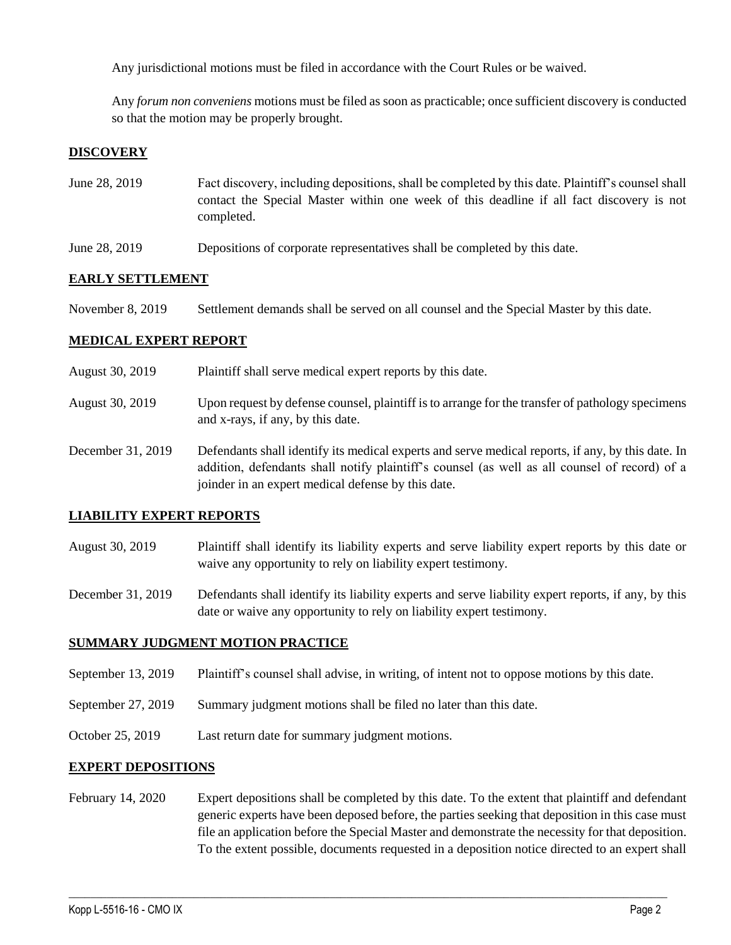Any jurisdictional motions must be filed in accordance with the Court Rules or be waived.

Any *forum non conveniens* motions must be filed as soon as practicable; once sufficient discovery is conducted so that the motion may be properly brought.

## **DISCOVERY**

- June 28, 2019 Fact discovery, including depositions, shall be completed by this date. Plaintiff's counsel shall contact the Special Master within one week of this deadline if all fact discovery is not completed.
- June 28, 2019 Depositions of corporate representatives shall be completed by this date.

### **EARLY SETTLEMENT**

November 8, 2019 Settlement demands shall be served on all counsel and the Special Master by this date.

### **MEDICAL EXPERT REPORT**

| August 30, 2019   | Plaintiff shall serve medical expert reports by this date.                                                                                                                                                                                               |
|-------------------|----------------------------------------------------------------------------------------------------------------------------------------------------------------------------------------------------------------------------------------------------------|
| August 30, 2019   | Upon request by defense counsel, plaintiff is to arrange for the transfer of pathology specimens<br>and x-rays, if any, by this date.                                                                                                                    |
| December 31, 2019 | Defendants shall identify its medical experts and serve medical reports, if any, by this date. In<br>addition, defendants shall notify plaintiff's counsel (as well as all counsel of record) of a<br>joinder in an expert medical defense by this date. |

### **LIABILITY EXPERT REPORTS**

August 30, 2019 Plaintiff shall identify its liability experts and serve liability expert reports by this date or waive any opportunity to rely on liability expert testimony.

December 31, 2019 Defendants shall identify its liability experts and serve liability expert reports, if any, by this date or waive any opportunity to rely on liability expert testimony.

#### **SUMMARY JUDGMENT MOTION PRACTICE**

- September 13, 2019 Plaintiff's counsel shall advise, in writing, of intent not to oppose motions by this date.
- September 27, 2019 Summary judgment motions shall be filed no later than this date.
- October 25, 2019 Last return date for summary judgment motions.

#### **EXPERT DEPOSITIONS**

February 14, 2020 Expert depositions shall be completed by this date. To the extent that plaintiff and defendant generic experts have been deposed before, the parties seeking that deposition in this case must file an application before the Special Master and demonstrate the necessity for that deposition. To the extent possible, documents requested in a deposition notice directed to an expert shall

 $\_$  ,  $\_$  ,  $\_$  ,  $\_$  ,  $\_$  ,  $\_$  ,  $\_$  ,  $\_$  ,  $\_$  ,  $\_$  ,  $\_$  ,  $\_$  ,  $\_$  ,  $\_$  ,  $\_$  ,  $\_$  ,  $\_$  ,  $\_$  ,  $\_$  ,  $\_$  ,  $\_$  ,  $\_$  ,  $\_$  ,  $\_$  ,  $\_$  ,  $\_$  ,  $\_$  ,  $\_$  ,  $\_$  ,  $\_$  ,  $\_$  ,  $\_$  ,  $\_$  ,  $\_$  ,  $\_$  ,  $\_$  ,  $\_$  ,